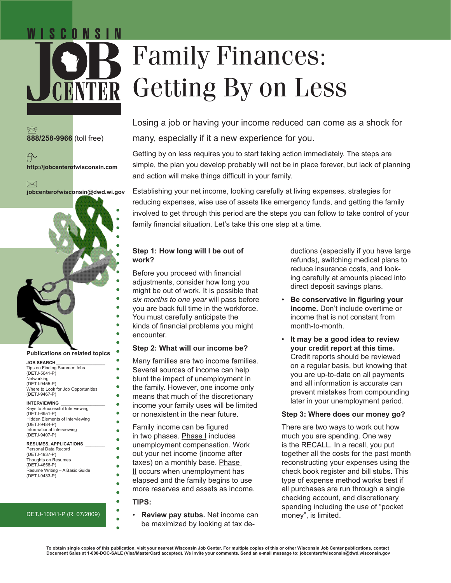# Family Finances: Getting By on Less

**888/258-9966** (toll free)



C O N S I N

 $\boxtimes$ **jobcenterofwisconsin@dwd.wi.gov**



#### **Publications on related topics**

**JOB SEARCH\_\_\_\_\_\_\_\_\_\_\_\_\_\_\_\_\_\_\_\_** Tips on Finding Summer Jobs (DETJ-5641-P) Networking (DETJ-9455-P) Where to Look for Job Opportunities (DETJ-9467-P)

#### **INTERVIEWING**

Keys to Successful Interviewing (DETJ-6951-P) Hidden Elements of Interviewing (DETJ-9484-P) Informational Interviewing (DETJ-9407-P)

#### **RESUMES, APPLICATIONS \_\_\_\_\_\_\_\_**

Personal Data Record (DETJ-4937-P) Thoughts on Resumes (DETJ-4658-P) Resume Writing – A Basic Guide (DETJ-9433-P)

## DETJ-10041-P (R. 07/2009)

Losing a job or having your income reduced can come as a shock for many, especially if it a new experience for you.

Getting by on less requires you to start taking action immediately. The steps are simple, the plan you develop probably will not be in place forever, but lack of planning and action will make things difficult in your family.

Establishing your net income, looking carefully at living expenses, strategies for reducing expenses, wise use of assets like emergency funds, and getting the family involved to get through this period are the steps you can follow to take control of your family financial situation. Let's take this one step at a time.

# **Step 1: How long will I be out of work?**

Before you proceed with financial adjustments, consider how long you might be out of work. It is possible that *six months to one year* will pass before you are back full time in the workforce. You must carefully anticipate the kinds of financial problems you might encounter.

# **Step 2: What will our income be?**

Many families are two income families. Several sources of income can help blunt the impact of unemployment in the family. However, one income only means that much of the discretionary income your family uses will be limited or nonexistent in the near future.

Family income can be figured in two phases. Phase I includes unemployment compensation. Work out your net income (income after taxes) on a monthly base. Phase II occurs when unemployment has elapsed and the family begins to use more reserves and assets as income.

## **TIPS:**

ä

 $\bullet$ 

ä

ō

ō

• **Review pay stubs.** Net income can be maximized by looking at tax deductions (especially if you have large refunds), switching medical plans to reduce insurance costs, and looking carefully at amounts placed into direct deposit savings plans.

- **Be conservative in figuring your income.** Don't include overtime or income that is not constant from month-to-month.
- **It may be a good idea to review your credit report at this time.**  Credit reports should be reviewed on a regular basis, but knowing that you are up-to-date on all payments and all information is accurate can prevent mistakes from compounding later in your unemployment period.

## **Step 3: Where does our money go?**

There are two ways to work out how much you are spending. One way is the RECALL. In a recall, you put together all the costs for the past month reconstructing your expenses using the check book register and bill stubs. This type of expense method works best if all purchases are run through a single checking account, and discretionary spending including the use of "pocket money", is limited.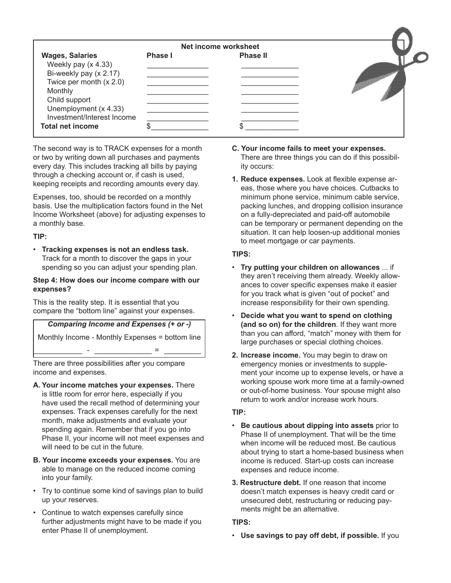|                                                                                                                                                                                                                    | Net income worksheet |                 |  |
|--------------------------------------------------------------------------------------------------------------------------------------------------------------------------------------------------------------------|----------------------|-----------------|--|
| <b>Wages, Salaries</b><br>Weekly pay (x 4.33)<br>Bi-weekly pay (x 2.17)<br>Twice per month $(x 2.0)$<br>Monthly<br>Child support<br>Unemployment (x 4.33)<br>Investment/Interest Income<br><b>Total net income</b> | Phase I              | <b>Phase II</b> |  |

The second way is to TRACK expenses for a month or two by writing down all purchases and payments every day. This includes tracking all bills by paying through a checking account or, if cash is used, keeping receipts and recording amounts every day.

Expenses, too, should be recorded on a monthly basis. Use the multiplication factors found in the Net Income Worksheet (above) for adjusting expenses to a monthly base.

# **TIP:**

• **Tracking expenses is not an endless task.** Track for a month to discover the gaps in your spending so you can adjust your spending plan.

## **Step 4: How does our income compare with our expenses?**

This is the reality step. It is essential that you compare the "bottom line" against your expenses.

*Comparing Income and Expenses (+ or -)* Monthly Income - Monthly Expenses = bottom line

 $\frac{1}{2}$  =  $\frac{1}{2}$  ,  $\frac{1}{2}$  ,  $\frac{1}{2}$  ,  $\frac{1}{2}$  ,  $\frac{1}{2}$  ,  $\frac{1}{2}$  ,  $\frac{1}{2}$  ,  $\frac{1}{2}$ 

There are three possibilities after you compare income and expenses.

- **A. Your income matches your expenses.** There is little room for error here, especially if you have used the recall method of determining your expenses. Track expenses carefully for the next month, make adjustments and evaluate your spending again. Remember that if you go into Phase II, your income will not meet expenses and will need to be cut in the future.
- **B. Your income exceeds your expenses.** You are able to manage on the reduced income coming into your family.
- Try to continue some kind of savings plan to build up your reserves.
- Continue to watch expenses carefully since further adjustments might have to be made if you enter Phase II of unemployment.
- **C. Your income fails to meet your expenses.**  There are three things you can do if this possibility occurs:
- **1. Reduce expenses.** Look at flexible expense areas, those where you have choices. Cutbacks to minimum phone service, minimum cable service, packing lunches, and dropping collision insurance on a fully-depreciated and paid-off automobile can be temporary or permanent depending on the situation. It can help loosen-up additional monies to meet mortgage or car payments.

# **TIPS:**

- **Try putting your children on allowances** ... if they aren't receiving them already. Weekly allowances to cover specific expenses make it easier for you track what is given "out of pocket" and increase responsibility for their own spending.
- **Decide what you want to spend on clothing (and so on) for the children**. If they want more than you can afford, "match" money with them for large purchases or special clothing choices.
- **2. Increase income.** You may begin to draw on emergency monies or investments to supplement your income up to expense levels, or have a working spouse work more time at a family-owned or out-of-home business. Your spouse might also return to work and/or increase work hours.

# **TIP:**

- **Be cautious about dipping into assets** prior to Phase II of unemployment. That will be the time when income will be reduced most. Be cautious about trying to start a home-based business when income is reduced. Start-up costs can increase expenses and reduce income.
- **3. Restructure debt.** If one reason that income doesn't match expenses is heavy credit card or unsecured debt, restructuring or reducing payments might be an alternative.

# **TIPS:**

• **Use savings to pay off debt, if possible.** If you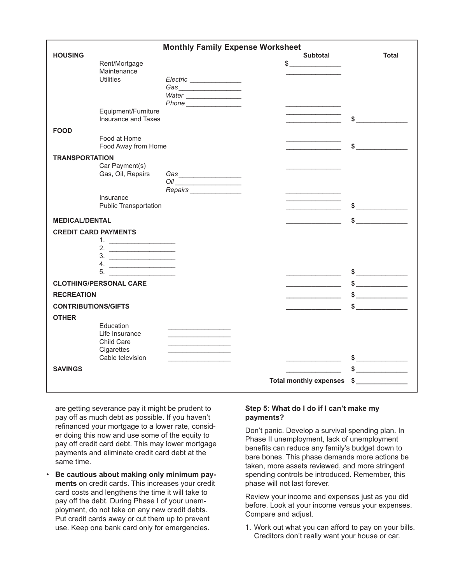| <b>Monthly Family Expense Worksheet</b> |                                 |                                          |                           |  |
|-----------------------------------------|---------------------------------|------------------------------------------|---------------------------|--|
| <b>HOUSING</b>                          |                                 |                                          | Subtotal<br><b>Total</b>  |  |
|                                         | Rent/Mortgage                   | $\frac{1}{2}$                            |                           |  |
|                                         | Maintenance<br><b>Utilities</b> |                                          |                           |  |
|                                         |                                 | Electric _______________                 |                           |  |
|                                         |                                 | Water                                    |                           |  |
|                                         |                                 |                                          |                           |  |
|                                         | Equipment/Furniture             |                                          |                           |  |
|                                         | Insurance and Taxes             |                                          |                           |  |
| <b>FOOD</b>                             |                                 |                                          |                           |  |
|                                         | Food at Home                    |                                          |                           |  |
|                                         | Food Away from Home             |                                          | \$                        |  |
| <b>TRANSPORTATION</b>                   |                                 |                                          |                           |  |
|                                         | Car Payment(s)                  |                                          |                           |  |
|                                         | Gas, Oil, Repairs               |                                          |                           |  |
|                                         |                                 |                                          |                           |  |
|                                         |                                 | Repairs________________                  |                           |  |
|                                         | Insurance                       |                                          |                           |  |
|                                         | <b>Public Transportation</b>    |                                          |                           |  |
| <b>MEDICAL/DENTAL</b>                   |                                 |                                          |                           |  |
| <b>CREDIT CARD PAYMENTS</b>             |                                 |                                          |                           |  |
|                                         |                                 |                                          |                           |  |
|                                         | 2. $\qquad \qquad$              |                                          |                           |  |
|                                         |                                 |                                          |                           |  |
|                                         | 4. $\qquad \qquad$              |                                          |                           |  |
|                                         |                                 |                                          | $\frac{1}{2}$             |  |
|                                         | <b>CLOTHING/PERSONAL CARE</b>   |                                          |                           |  |
| <b>RECREATION</b>                       |                                 |                                          | $\frac{1}{2}$             |  |
| <b>CONTRIBUTIONS/GIFTS</b>              |                                 |                                          |                           |  |
| <b>OTHER</b>                            |                                 |                                          |                           |  |
|                                         | Education                       |                                          |                           |  |
|                                         | Life Insurance                  | <u> 1980 - Johann Barbara, martxa al</u> |                           |  |
|                                         | Child Care                      |                                          |                           |  |
|                                         | Cigarettes                      |                                          |                           |  |
|                                         | Cable television                |                                          | $\frac{1}{2}$             |  |
| <b>SAVINGS</b>                          |                                 |                                          | $\frac{1}{2}$             |  |
|                                         |                                 |                                          | Total monthly expenses \$ |  |
|                                         |                                 |                                          |                           |  |

are getting severance pay it might be prudent to pay off as much debt as possible. If you haven't refinanced your mortgage to a lower rate, consider doing this now and use some of the equity to pay off credit card debt. This may lower mortgage payments and eliminate credit card debt at the same time.

• **Be cautious about making only minimum payments** on credit cards. This increases your credit card costs and lengthens the time it will take to pay off the debt. During Phase I of your unemployment, do not take on any new credit debts. Put credit cards away or cut them up to prevent use. Keep one bank card only for emergencies.

# **Step 5: What do I do if I can't make my payments?**

Don't panic. Develop a survival spending plan. In Phase II unemployment, lack of unemployment benefits can reduce any family's budget down to bare bones. This phase demands more actions be taken, more assets reviewed, and more stringent spending controls be introduced. Remember, this phase will not last forever.

Review your income and expenses just as you did before. Look at your income versus your expenses. Compare and adjust.

1. Work out what you can afford to pay on your bills. Creditors don't really want your house or car.